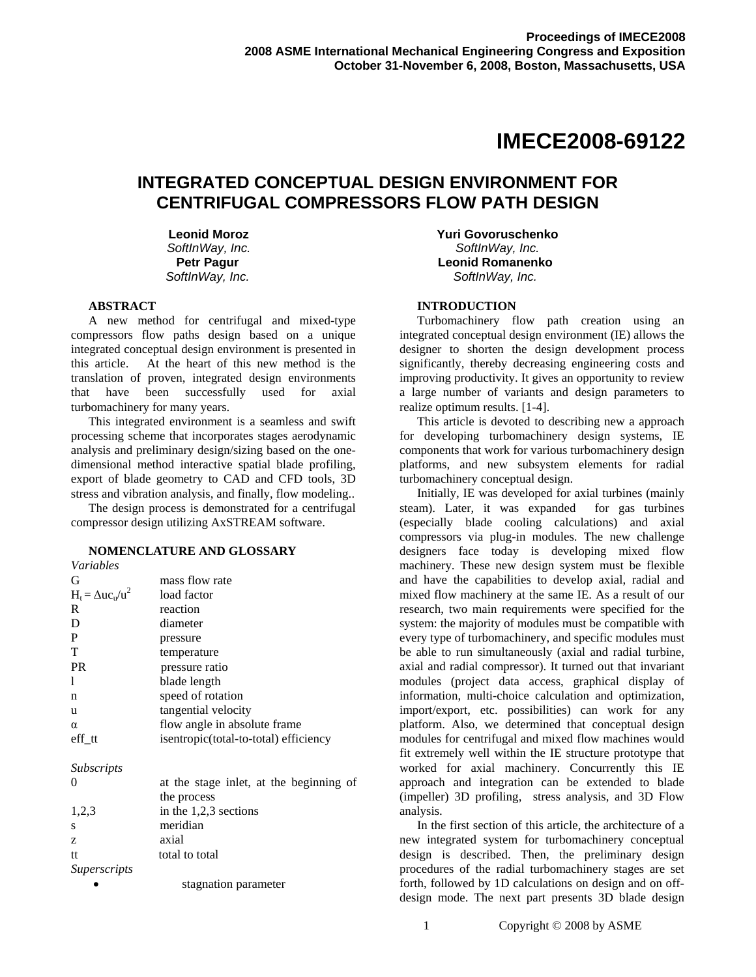# **IMECE2008-69122**

## **INTEGRATED CONCEPTUAL DESIGN ENVIRONMENT FOR CENTRIFUGAL COMPRESSORS FLOW PATH DESIGN**

**Leonid Moroz** *SoftInWay, Inc.* **Petr Pagur**  *SoftInWay, Inc.*

#### **ABSTRACT**

A new method for centrifugal and mixed-type compressors flow paths design based on a unique integrated conceptual design environment is presented in this article. At the heart of this new method is the translation of proven, integrated design environments that have been successfully used for axial turbomachinery for many years.

This integrated environment is a seamless and swift processing scheme that incorporates stages aerodynamic analysis and preliminary design/sizing based on the onedimensional method interactive spatial blade profiling, export of blade geometry to CAD and CFD tools, 3D stress and vibration analysis, and finally, flow modeling..

The design process is demonstrated for a centrifugal compressor design utilizing AxSTREAM software.

#### **NOMENCLATURE AND GLOSSARY**

| Variables                  |                                         |
|----------------------------|-----------------------------------------|
| G                          | mass flow rate                          |
| $H_t = \Delta u c_u / u^2$ | load factor                             |
| R                          | reaction                                |
| D                          | diameter                                |
| P                          | pressure                                |
| T                          | temperature                             |
| <b>PR</b>                  | pressure ratio                          |
| 1                          | blade length                            |
| n                          | speed of rotation                       |
| u                          | tangential velocity                     |
| $\alpha$                   | flow angle in absolute frame            |
| eff tt                     | isentropic(total-to-total) efficiency   |
| <b>Subscripts</b>          |                                         |
| $\theta$                   | at the stage inlet, at the beginning of |
|                            | the process                             |
| 1,2,3                      | in the $1,2,3$ sections                 |
| S                          | meridian                                |
| Z                          | axial                                   |
| tt                         | total to total                          |
| <b>Superscripts</b>        |                                         |

stagnation parameter

**Yuri Govorusсhenko**  *SoftInWay, Inc.* **Leonid Romanenko**  *SoftInWay, Inc.*

#### **INTRODUCTION**

Turbomachinery flow path creation using an integrated conceptual design environment (IE) allows the designer to shorten the design development process significantly, thereby decreasing engineering costs and improving productivity. It gives an opportunity to review a large number of variants and design parameters to realize optimum results. [1-4].

This article is devoted to describing new a approach for developing turbomachinery design systems, IE components that work for various turbomachinery design platforms, and new subsystem elements for radial turbomachinery conceptual design.

Initially, IE was developed for axial turbines (mainly steam). Later, it was expanded for gas turbines (especially blade cooling calculations) and axial compressors via plug-in modules. The new challenge designers face today is developing mixed flow machinery. These new design system must be flexible and have the capabilities to develop axial, radial and mixed flow machinery at the same IE. As a result of our research, two main requirements were specified for the system: the majority of modules must be compatible with every type of turbomachinery, and specific modules must be able to run simultaneously (axial and radial turbine, axial and radial compressor). It turned out that invariant modules (project data access, graphical display of information, multi-choice calculation and optimization, import/export, etc. possibilities) can work for any platform. Also, we determined that conceptual design modules for centrifugal and mixed flow machines would fit extremely well within the IE structure prototype that worked for axial machinery. Concurrently this IE approach and integration can be extended to blade (impeller) 3D profiling, stress analysis, and 3D Flow analysis.

In the first section of this article, the architecture of a new integrated system for turbomachinery conceptual design is described. Then, the preliminary design procedures of the radial turbomachinery stages are set forth, followed by 1D calculations on design and on offdesign mode. The next part presents 3D blade design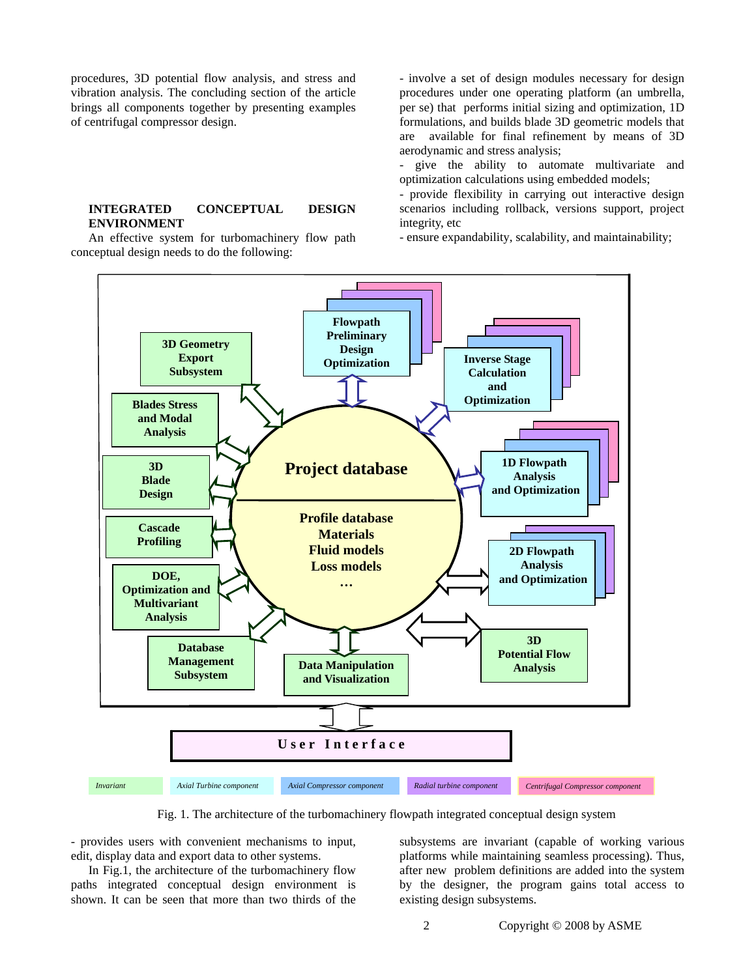procedures, 3D potential flow analysis, and stress and vibration analysis. The concluding section of the article brings all components together by presenting examples of centrifugal compressor design.

#### **INTEGRATED CONCEPTUAL DESIGN ENVIRONMENT**

An effective system for turbomachinery flow path conceptual design needs to do the following:

- involve a set of design modules necessary for design procedures under one operating platform (an umbrella, per se) that performs initial sizing and optimization, 1D formulations, and builds blade 3D geometric models that are available for final refinement by means of 3D aerodynamic and stress analysis;

- give the ability to automate multivariate and optimization calculations using embedded models;

- provide flexibility in carrying out interactive design scenarios including rollback, versions support, project integrity, etc

- ensure expandability, scalability, and maintainability;



Fig. 1. The architecture of the turbomachinery flowpath integrated conceptual design system

- provides users with convenient mechanisms to input, edit, display data and export data to other systems.

In Fig.1, the architecture of the turbomachinery flow paths integrated conceptual design environment is shown. It can be seen that more than two thirds of the subsystems are invariant (capable of working various platforms while maintaining seamless processing). Thus, after new problem definitions are added into the system by the designer, the program gains total access to existing design subsystems.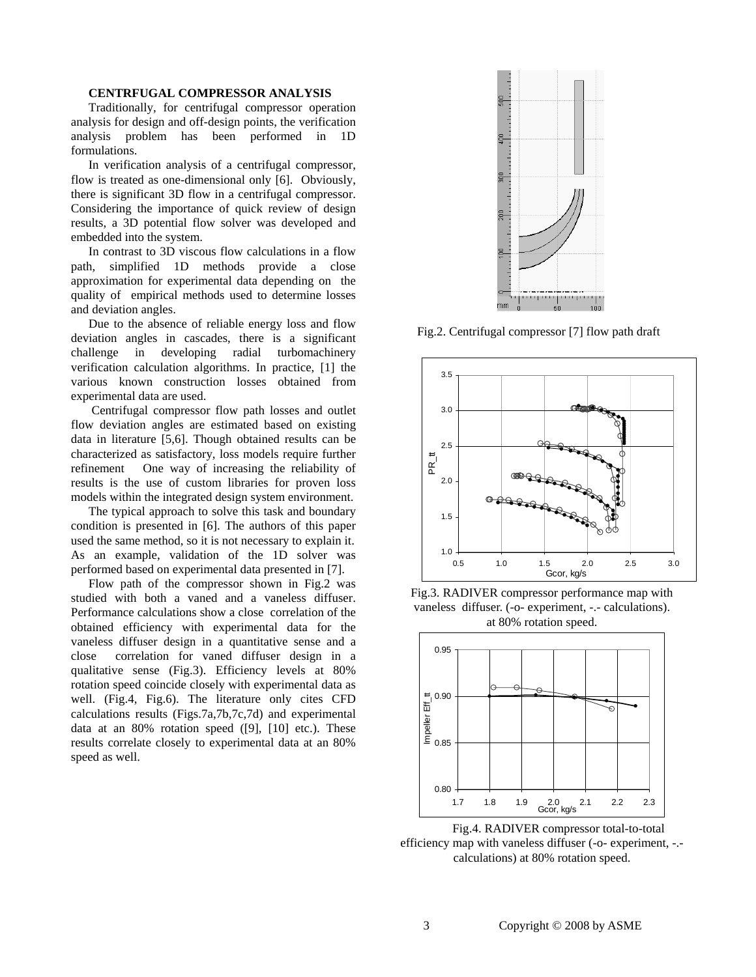#### **CENTRFUGAL COMPRESSOR ANALYSIS**

Traditionally, for centrifugal compressor operation analysis for design and off-design points, the verification analysis problem has been performed in 1D formulations.

In verification analysis of a centrifugal compressor, flow is treated as one-dimensional only [6]. Obviously, there is significant 3D flow in a centrifugal compressor. Considering the importance of quick review of design results, a 3D potential flow solver was developed and embedded into the system.

In contrast to 3D viscous flow calculations in a flow path, simplified 1D methods provide a close approximation for experimental data depending on the quality of empirical methods used to determine losses and deviation angles.

Due to the absence of reliable energy loss and flow deviation angles in cascades, there is a significant challenge in developing radial turbomachinery verification calculation algorithms. In practice, [1] the various known construction losses obtained from experimental data are used.

 Centrifugal compressor flow path losses and outlet flow deviation angles are estimated based on existing data in literature [5,6]. Though obtained results can be characterized as satisfactory, loss models require further refinement One way of increasing the reliability of results is the use of custom libraries for proven loss models within the integrated design system environment.

The typical approach to solve this task and boundary condition is presented in [6]. The authors of this paper used the same method, so it is not necessary to explain it. As an example, validation of the 1D solver was performed based on experimental data presented in [7].

Flow path of the compressor shown in Fig.2 was studied with both a vaned and a vaneless diffuser. Performance calculations show a close correlation of the obtained efficiency with experimental data for the vaneless diffuser design in a quantitative sense and a close correlation for vaned diffuser design in a qualitative sense (Fig.3). Efficiency levels at 80% rotation speed coincide closely with experimental data as well. (Fig.4, Fig.6). The literature only cites CFD calculations results (Figs.7a,7b,7c,7d) and experimental data at an 80% rotation speed ([9], [10] etc.). These results correlate closely to experimental data at an 80% speed as well.



Fig.2. Centrifugal compressor [7] flow path draft



Fig.3. RADIVER compressor performance map with vaneless diffuser. (-o- experiment, -.- calculations). at 80% rotation speed.



Fig.4. RADIVER compressor total-to-total efficiency map with vaneless diffuser (-o- experiment, -. calculations) at 80% rotation speed.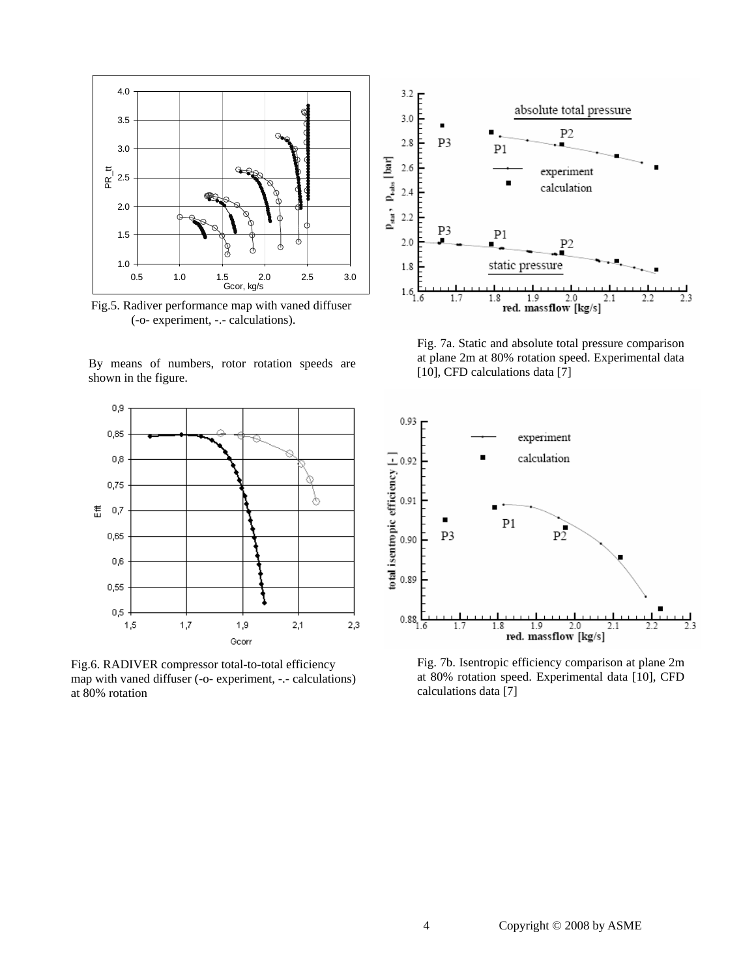

Fig.5. Radiver performance map with vaned diffuser (-o- experiment, -.- calculations).

By means of numbers, rotor rotation speeds are shown in the figure.



Fig.6. RADIVER compressor total-to-total efficiency map with vaned diffuser (-o- experiment, -.- calculations) at 80% rotation



Fig. 7a. Static and absolute total pressure comparison at plane 2m at 80% rotation speed. Experimental data [10], CFD calculations data [7]



Fig. 7b. Isentropic efficiency comparison at plane 2m at 80% rotation speed. Experimental data [10], CFD calculations data [7]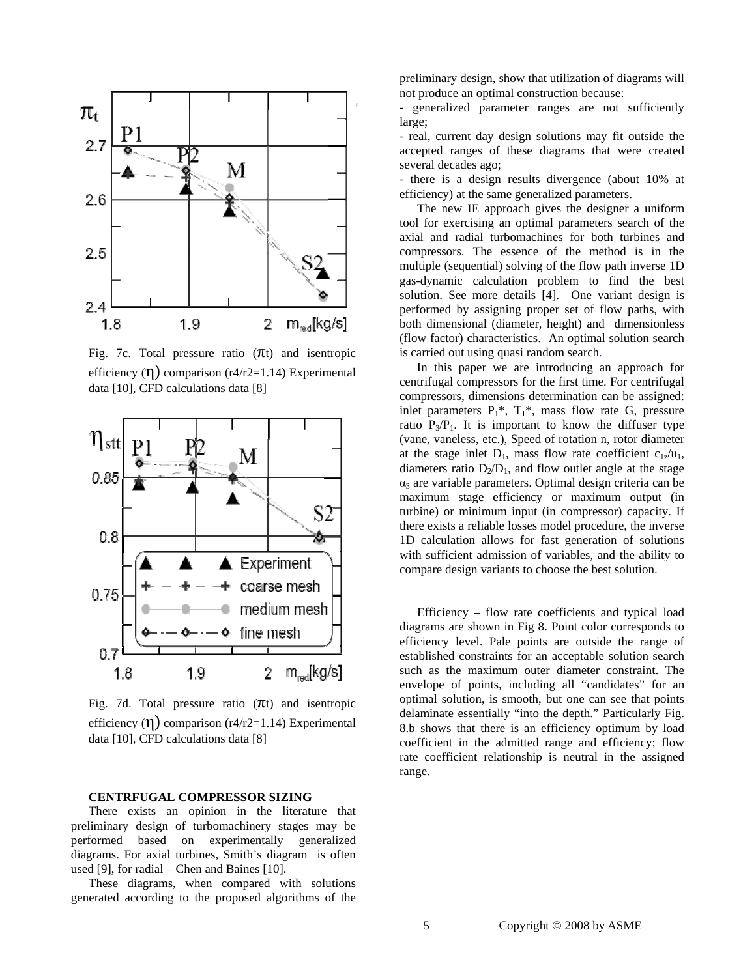

Fig. 7c. Total pressure ratio  $(πt)$  and isentropic efficiency  $(\eta)$  comparison (r4/r2=1.14) Experimental data [10], CFD calculations data [8]



Fig. 7d. Total pressure ratio  $(Tt)$  and isentropic efficiency (η) comparison ( $r4/r2=1.14$ ) Experimental data [10], CFD calculations data [8]

#### **CENTRFUGAL COMPRESSOR SIZING**

There exists an opinion in the literature that preliminary design of turbomachinery stages may be performed based on experimentally generalized diagrams. For axial turbines, Smith's diagram is often used [9], for radial – Chen and Baines [10].

These diagrams, when compared with solutions generated according to the proposed algorithms of the

preliminary design, show that utilization of diagrams will not produce an optimal construction because:

- generalized parameter ranges are not sufficiently large;

- real, current day design solutions may fit outside the accepted ranges of these diagrams that were created several decades ago;

- there is a design results divergence (about 10% at efficiency) at the same generalized parameters.

The new IE approach gives the designer a uniform tool for exercising an optimal parameters search of the axial and radial turbomachines for both turbines and compressors. The essence of the method is in the multiple (sequential) solving of the flow path inverse 1D gas-dynamic calculation problem to find the best solution. See more details [4]. One variant design is performed by assigning proper set of flow paths, with both dimensional (diameter, height) and dimensionless (flow factor) characteristics. An optimal solution search is carried out using quasi random search.

In this paper we are introducing an approach for centrifugal compressors for the first time. For centrifugal compressors, dimensions determination can be assigned: inlet parameters  $P_1^*$ ,  $T_1^*$ , mass flow rate G, pressure ratio  $P_3/P_1$ . It is important to know the diffuser type (vane, vaneless, etc.), Speed of rotation n, rotor diameter at the stage inlet  $D_1$ , mass flow rate coefficient  $c_{1z}/u_1$ , diameters ratio  $D_2/D_1$ , and flow outlet angle at the stage  $\alpha_3$  are variable parameters. Optimal design criteria can be maximum stage efficiency or maximum output (in turbine) or minimum input (in compressor) capacity. If there exists a reliable losses model procedure, the inverse 1D calculation allows for fast generation of solutions with sufficient admission of variables, and the ability to compare design variants to choose the best solution.

Efficiency – flow rate coefficients and typical load diagrams are shown in Fig 8. Point color corresponds to efficiency level. Pale points are outside the range of established constraints for an acceptable solution search such as the maximum outer diameter constraint. The envelope of points, including all "candidates" for an optimal solution, is smooth, but one can see that points delaminate essentially "into the depth." Particularly Fig. 8.b shows that there is an efficiency optimum by load coefficient in the admitted range and efficiency; flow rate coefficient relationship is neutral in the assigned range.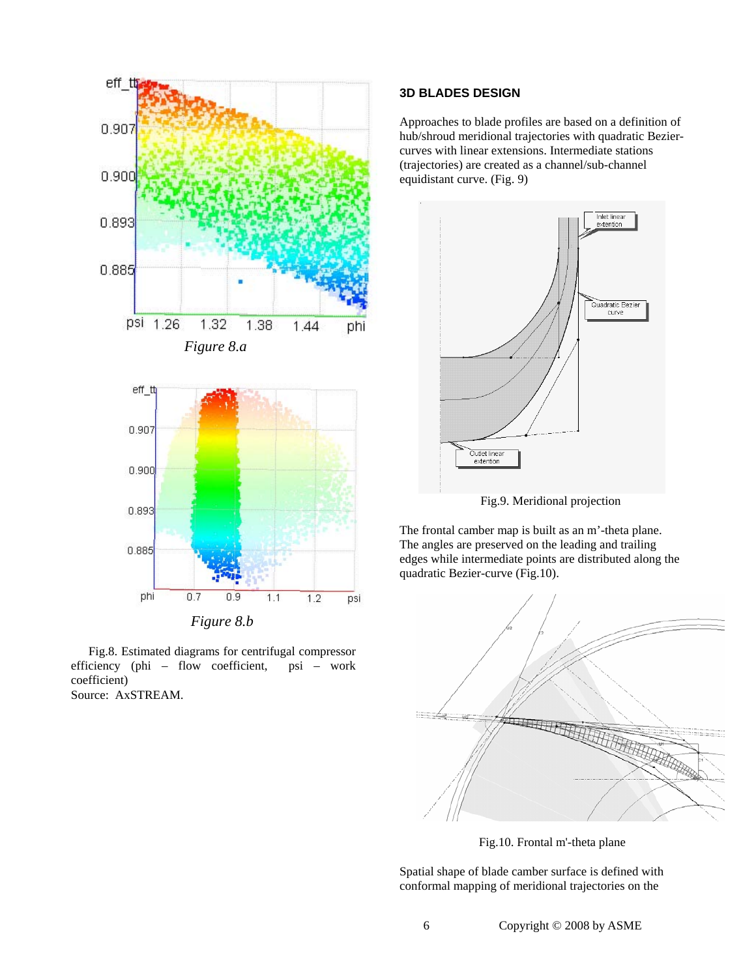

Fig.8. Estimated diagrams for centrifugal compressor efficiency (phi – flow coefficient, psi – work coefficient) Source: AxSTREAM.

**3D BLADES DESIGN** 

Approaches to blade profiles are based on a definition of hub/shroud meridional trajectories with quadratic Beziercurves with linear extensions. Intermediate stations (trajectories) are created as a channel/sub-channel equidistant curve. (Fig. 9)



Fig.9. Meridional projection

The frontal camber map is built as an m'-theta plane. The angles are preserved on the leading and trailing edges while intermediate points are distributed along the quadratic Bezier-curve (Fig.10).



Fig.10. Frontal m'-theta plane

Spatial shape of blade camber surface is defined with conformal mapping of meridional trajectories on the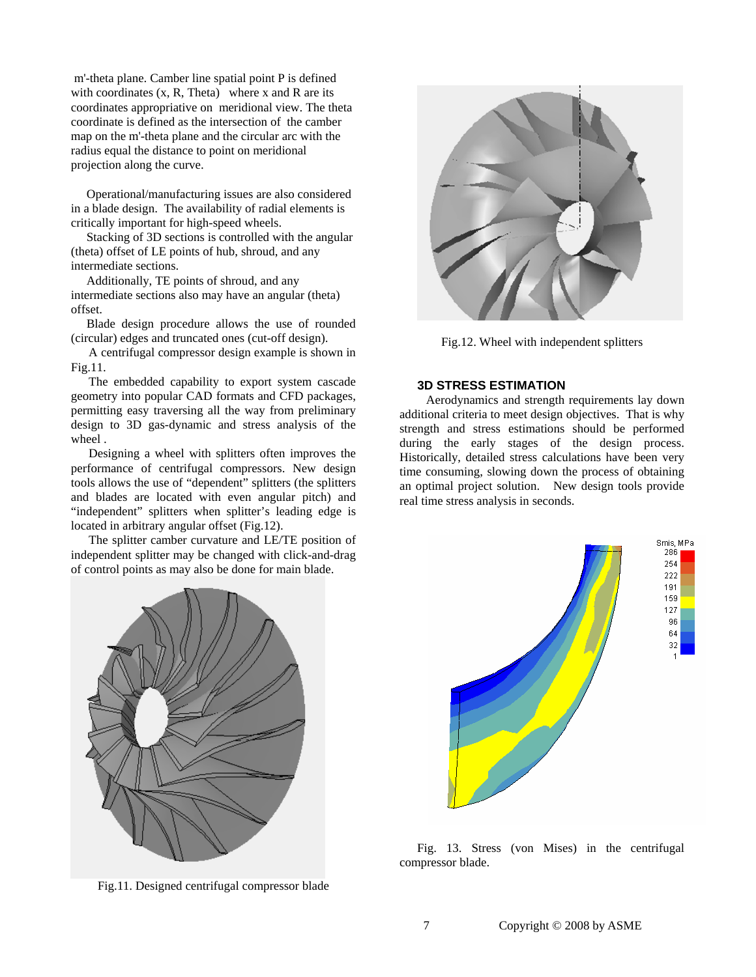m'-theta plane. Camber line spatial point P is defined with coordinates  $(x, R, Theta)$  where x and R are its coordinates appropriative on meridional view. The theta coordinate is defined as the intersection of the camber map on the m'-theta plane and the circular arc with the radius equal the distance to point on meridional projection along the curve.

 Operational/manufacturing issues are also considered in a blade design. The availability of radial elements is critically important for high-speed wheels.

 Stacking of 3D sections is controlled with the angular (theta) offset of LE points of hub, shroud, and any intermediate sections.

 Additionally, TE points of shroud, and any intermediate sections also may have an angular (theta) offset.

 Blade design procedure allows the use of rounded (circular) edges and truncated ones (cut-off design).

A centrifugal compressor design example is shown in Fig.11.

The embedded capability to export system cascade geometry into popular CAD formats and CFD packages, permitting easy traversing all the way from preliminary design to 3D gas-dynamic and stress analysis of the wheel .

Designing a wheel with splitters often improves the performance of centrifugal compressors. New design tools allows the use of "dependent" splitters (the splitters and blades are located with even angular pitch) and "independent" splitters when splitter's leading edge is located in arbitrary angular offset (Fig.12).

The splitter camber curvature and LE/TE position of independent splitter may be changed with click-and-drag of control points as may also be done for main blade.



Fig.12. Wheel with independent splitters

#### **3D STRESS ESTIMATION**

Aerodynamics and strength requirements lay down additional criteria to meet design objectives. That is why strength and stress estimations should be performed during the early stages of the design process. Historically, detailed stress calculations have been very time consuming, slowing down the process of obtaining an optimal project solution. New design tools provide real time stress analysis in seconds.



Fig. 13. Stress (von Mises) in the centrifugal compressor blade.



Fig.11. Designed centrifugal compressor blade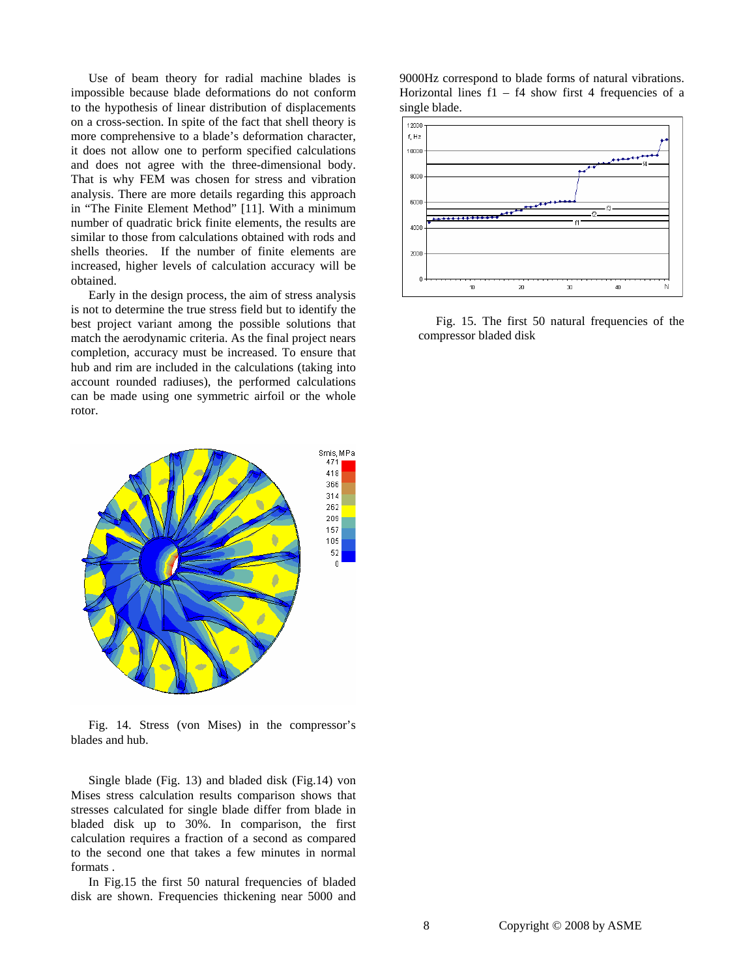Use of beam theory for radial machine blades is impossible because blade deformations do not conform to the hypothesis of linear distribution of displacements on a cross-section. In spite of the fact that shell theory is more comprehensive to a blade's deformation character, it does not allow one to perform specified calculations and does not agree with the three-dimensional body. That is why FEM was chosen for stress and vibration analysis. There are more details regarding this approach in "The Finite Element Method" [11]. With a minimum number of quadratic brick finite elements, the results are similar to those from calculations obtained with rods and shells theories. If the number of finite elements are increased, higher levels of calculation accuracy will be obtained.

Early in the design process, the aim of stress analysis is not to determine the true stress field but to identify the best project variant among the possible solutions that match the aerodynamic criteria. As the final project nears completion, accuracy must be increased. To ensure that hub and rim are included in the calculations (taking into account rounded radiuses), the performed calculations can be made using one symmetric airfoil or the whole rotor.



Fig. 14. Stress (von Mises) in the compressor's blades and hub.

Single blade (Fig. 13) and bladed disk (Fig.14) von Mises stress calculation results comparison shows that stresses calculated for single blade differ from blade in bladed disk up to 30%. In comparison, the first calculation requires a fraction of a second as compared to the second one that takes a few minutes in normal formats .

In Fig.15 the first 50 natural frequencies of bladed disk are shown. Frequencies thickening near 5000 and 9000Hz correspond to blade forms of natural vibrations. Horizontal lines  $f1 - f4$  show first 4 frequencies of a single blade.



Fig. 15. The first 50 natural frequencies of the compressor bladed disk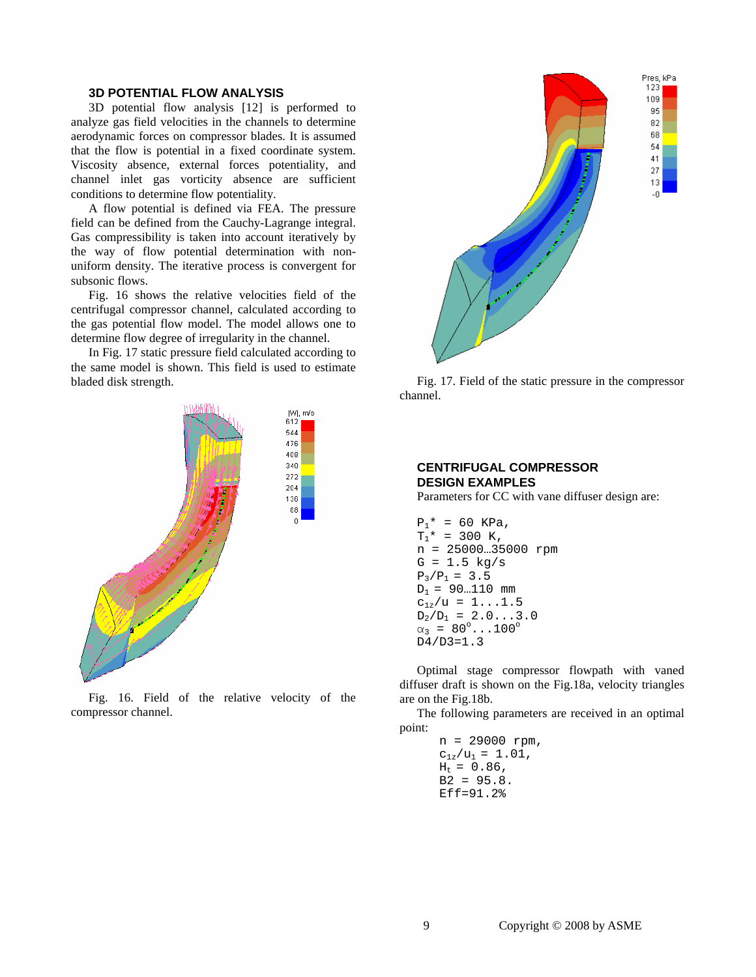#### **3D POTENTIAL FLOW ANALYSIS**

3D potential flow analysis [12] is performed to analyze gas field velocities in the channels to determine aerodynamic forces on compressor blades. It is assumed that the flow is potential in a fixed coordinate system. Viscosity absence, external forces potentiality, and channel inlet gas vorticity absence are sufficient conditions to determine flow potentiality.

A flow potential is defined via FEA. The pressure field can be defined from the Cauchy-Lagrange integral. Gas compressibility is taken into account iteratively by the way of flow potential determination with nonuniform density. The iterative process is convergent for subsonic flows.

Fig. 16 shows the relative velocities field of the centrifugal compressor channel, calculated according to the gas potential flow model. The model allows one to determine flow degree of irregularity in the channel.

In Fig. 17 static pressure field calculated according to the same model is shown. This field is used to estimate bladed disk strength.



Fig. 16. Field of the relative velocity of the compressor channel.



Fig. 17. Field of the static pressure in the compressor channel.

### **CENTRIFUGAL COMPRESSOR DESIGN EXAMPLES**

Parameters for CC with vane diffuser design are:

 $P_1* = 60$  KPa,  $T_1* = 300 K,$ n = 25000…35000 rpm  $G = 1.5 \text{ kg/s}$  $P_3/P_1 = 3.5$  $D_1 = 90...110$  mm  $c_{1z}/u = 1...1.5$  $D_2/D_1 = 2.0...3.0$  $\alpha_3 = 80^\circ \dots 100^\circ$ D4/D3=1.3

Optimal stage compressor flowpath with vaned diffuser draft is shown on the Fig.18a, velocity triangles are on the Fig.18b.

The following parameters are received in an optimal point:

> $n = 29000$  rpm,  $c_{1z}/u_1 = 1.01$ ,  $H_t = 0.86$ ,  $B2 = 95.8$ . Eff=91.2%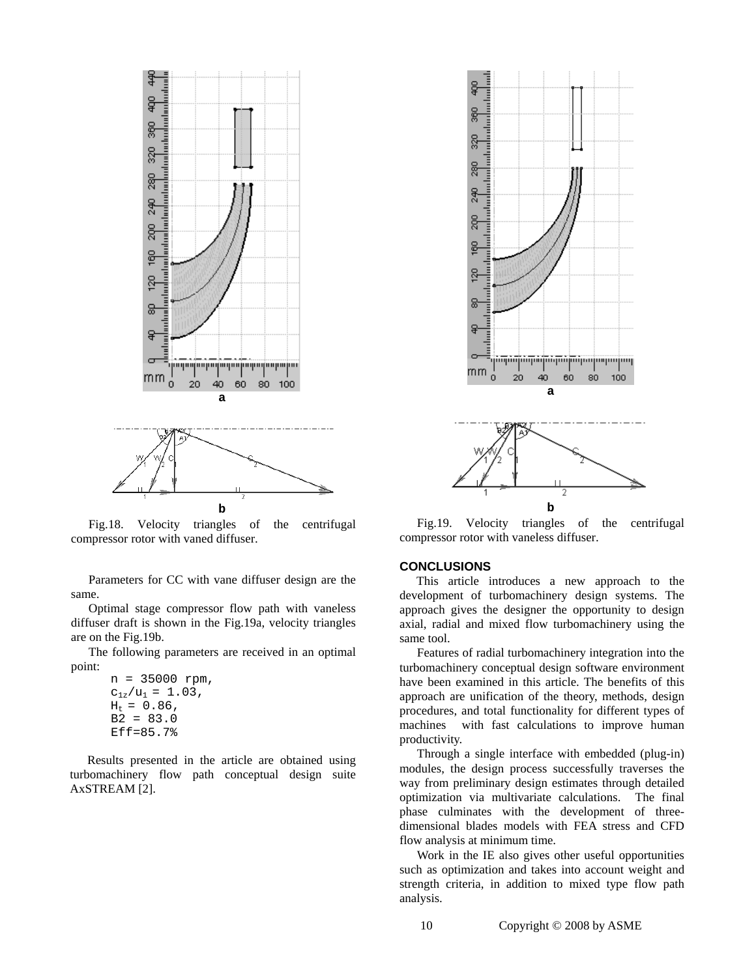

Fig.18. Velocity triangles of the centrifugal compressor rotor with vaned diffuser.

Parameters for CC with vane diffuser design are the same.

Optimal stage compressor flow path with vaneless diffuser draft is shown in the Fig.19a, velocity triangles are on the Fig.19b.

The following parameters are received in an optimal point:

> n = 35000 rpm,  $c_{1z}/u_1 = 1.03$ ,  $H_t = 0.86$ , B2 = 83.0 Eff=85.7%

Results presented in the article are obtained using turbomachinery flow path conceptual design suite AxSTREAM [2].



Fig.19. Velocity triangles of the centrifugal compressor rotor with vaneless diffuser.

#### **CONCLUSIONS**

 This article introduces a new approach to the development of turbomachinery design systems. The approach gives the designer the opportunity to design axial, radial and mixed flow turbomachinery using the same tool.

Features of radial turbomachinery integration into the turbomachinery conceptual design software environment have been examined in this article. The benefits of this approach are unification of the theory, methods, design procedures, and total functionality for different types of machines with fast calculations to improve human productivity.

Through a single interface with embedded (plug-in) modules, the design process successfully traverses the way from preliminary design estimates through detailed optimization via multivariate calculations. The final phase culminates with the development of threedimensional blades models with FEA stress and CFD flow analysis at minimum time.

Work in the IE also gives other useful opportunities such as optimization and takes into account weight and strength criteria, in addition to mixed type flow path analysis.